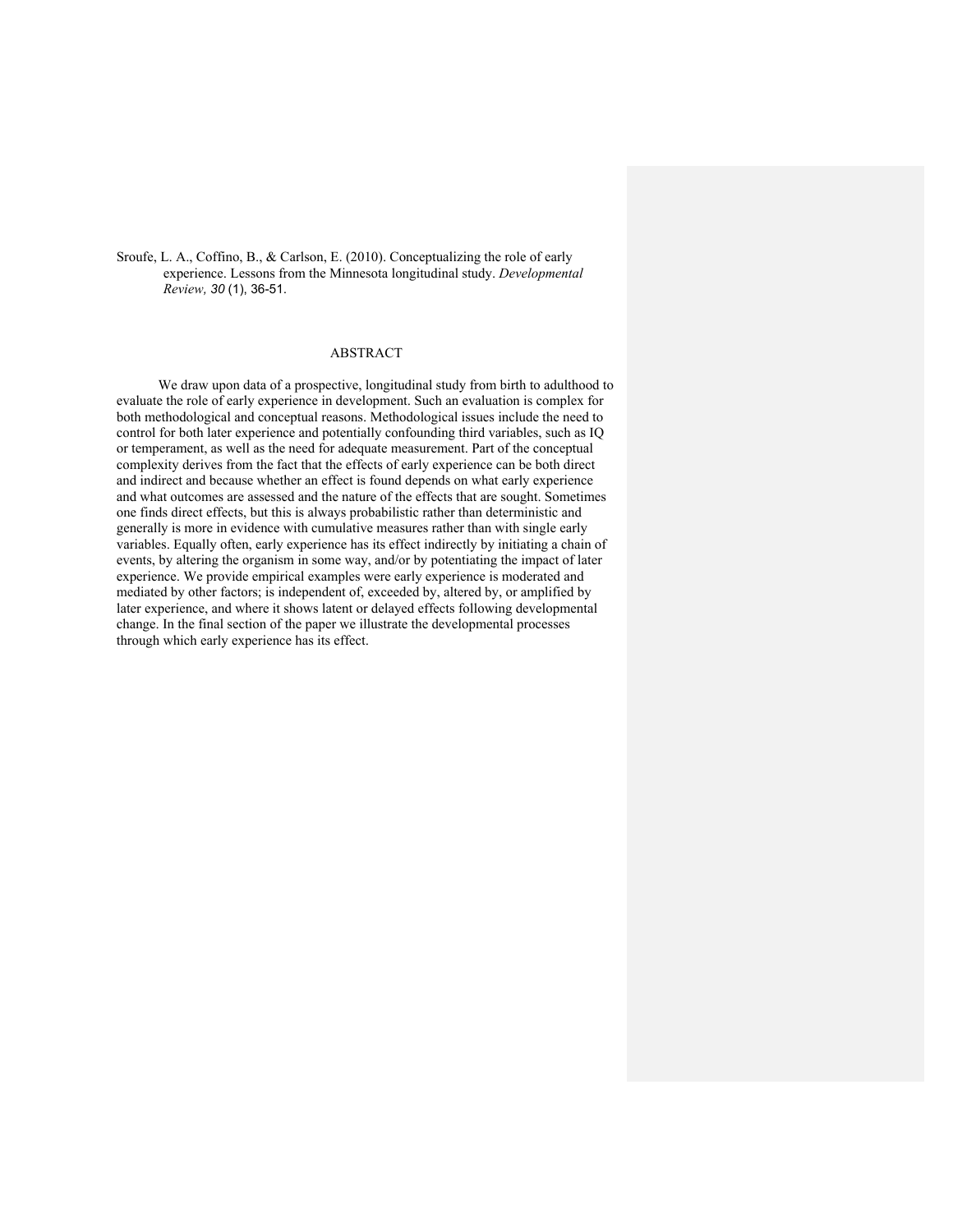Sroufe, L. A., Coffino, B., & Carlson, E. (2010). Conceptualizing the role of early experience. Lessons from the Minnesota longitudinal study. *Developmental Review, 30* (1), 36-51.

# ABSTRACT

We draw upon data of a prospective, longitudinal study from birth to adulthood to evaluate the role of early experience in development. Such an evaluation is complex for both methodological and conceptual reasons. Methodological issues include the need to control for both later experience and potentially confounding third variables, such as IQ or temperament, as well as the need for adequate measurement. Part of the conceptual complexity derives from the fact that the effects of early experience can be both direct and indirect and because whether an effect is found depends on what early experience and what outcomes are assessed and the nature of the effects that are sought. Sometimes one finds direct effects, but this is always probabilistic rather than deterministic and generally is more in evidence with cumulative measures rather than with single early variables. Equally often, early experience has its effect indirectly by initiating a chain of events, by altering the organism in some way, and/or by potentiating the impact of later experience. We provide empirical examples were early experience is moderated and mediated by other factors; is independent of, exceeded by, altered by, or amplified by later experience, and where it shows latent or delayed effects following developmental change. In the final section of the paper we illustrate the developmental processes through which early experience has its effect.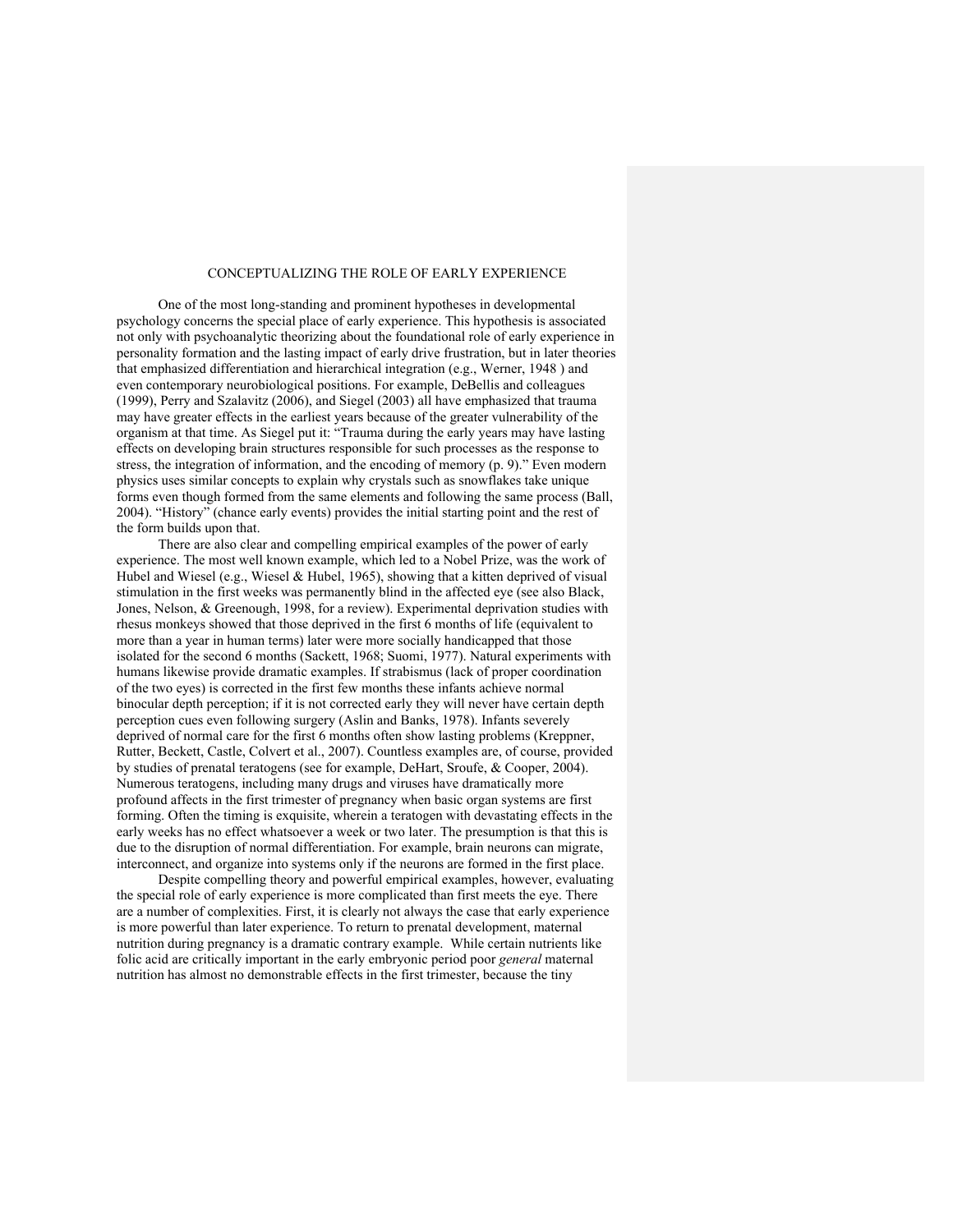# CONCEPTUALIZING THE ROLE OF EARLY EXPERIENCE

One of the most long-standing and prominent hypotheses in developmental psychology concerns the special place of early experience. This hypothesis is associated not only with psychoanalytic theorizing about the foundational role of early experience in personality formation and the lasting impact of early drive frustration, but in later theories that emphasized differentiation and hierarchical integration (e.g., Werner, 1948 ) and even contemporary neurobiological positions. For example, DeBellis and colleagues (1999), Perry and Szalavitz (2006), and Siegel (2003) all have emphasized that trauma may have greater effects in the earliest years because of the greater vulnerability of the organism at that time. As Siegel put it: "Trauma during the early years may have lasting effects on developing brain structures responsible for such processes as the response to stress, the integration of information, and the encoding of memory (p. 9)." Even modern physics uses similar concepts to explain why crystals such as snowflakes take unique forms even though formed from the same elements and following the same process (Ball, 2004). "History" (chance early events) provides the initial starting point and the rest of the form builds upon that.

There are also clear and compelling empirical examples of the power of early experience. The most well known example, which led to a Nobel Prize, was the work of Hubel and Wiesel (e.g., Wiesel & Hubel, 1965), showing that a kitten deprived of visual stimulation in the first weeks was permanently blind in the affected eye (see also Black, Jones, Nelson, & Greenough, 1998, for a review). Experimental deprivation studies with rhesus monkeys showed that those deprived in the first 6 months of life (equivalent to more than a year in human terms) later were more socially handicapped that those isolated for the second 6 months (Sackett, 1968; Suomi, 1977). Natural experiments with humans likewise provide dramatic examples. If strabismus (lack of proper coordination of the two eyes) is corrected in the first few months these infants achieve normal binocular depth perception; if it is not corrected early they will never have certain depth perception cues even following surgery (Aslin and Banks, 1978). Infants severely deprived of normal care for the first 6 months often show lasting problems (Kreppner, Rutter, Beckett, Castle, Colvert et al., 2007). Countless examples are, of course, provided by studies of prenatal teratogens (see for example, DeHart, Sroufe, & Cooper, 2004). Numerous teratogens, including many drugs and viruses have dramatically more profound affects in the first trimester of pregnancy when basic organ systems are first forming. Often the timing is exquisite, wherein a teratogen with devastating effects in the early weeks has no effect whatsoever a week or two later. The presumption is that this is due to the disruption of normal differentiation. For example, brain neurons can migrate, interconnect, and organize into systems only if the neurons are formed in the first place.

Despite compelling theory and powerful empirical examples, however, evaluating the special role of early experience is more complicated than first meets the eye. There are a number of complexities. First, it is clearly not always the case that early experience is more powerful than later experience. To return to prenatal development, maternal nutrition during pregnancy is a dramatic contrary example. While certain nutrients like folic acid are critically important in the early embryonic period poor *general* maternal nutrition has almost no demonstrable effects in the first trimester, because the tiny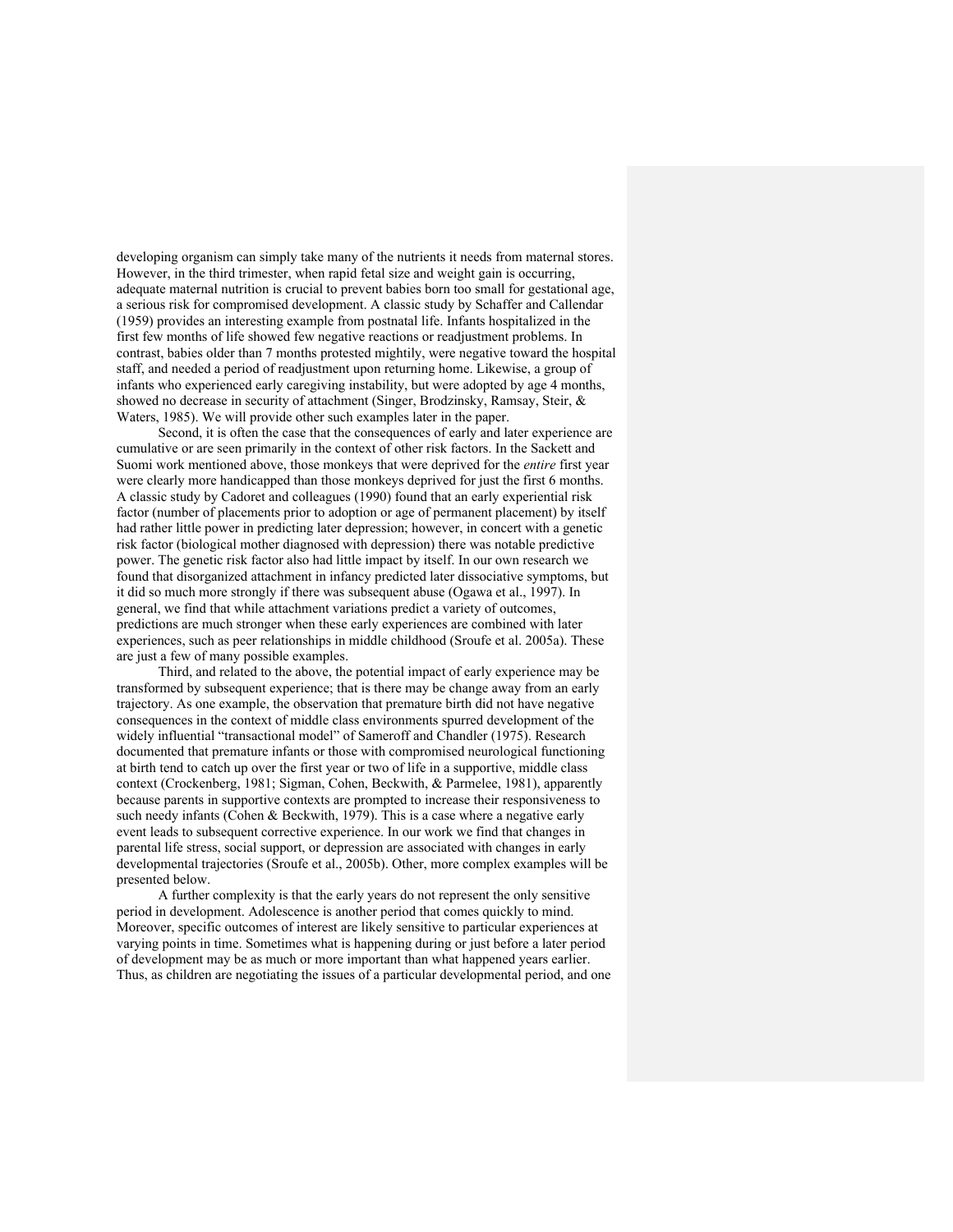developing organism can simply take many of the nutrients it needs from maternal stores. However, in the third trimester, when rapid fetal size and weight gain is occurring, adequate maternal nutrition is crucial to prevent babies born too small for gestational age, a serious risk for compromised development. A classic study by Schaffer and Callendar (1959) provides an interesting example from postnatal life. Infants hospitalized in the first few months of life showed few negative reactions or readjustment problems. In contrast, babies older than 7 months protested mightily, were negative toward the hospital staff, and needed a period of readjustment upon returning home. Likewise, a group of infants who experienced early caregiving instability, but were adopted by age 4 months, showed no decrease in security of attachment (Singer, Brodzinsky, Ramsay, Steir, & Waters, 1985). We will provide other such examples later in the paper.

Second, it is often the case that the consequences of early and later experience are cumulative or are seen primarily in the context of other risk factors. In the Sackett and Suomi work mentioned above, those monkeys that were deprived for the *entire* first year were clearly more handicapped than those monkeys deprived for just the first 6 months. A classic study by Cadoret and colleagues (1990) found that an early experiential risk factor (number of placements prior to adoption or age of permanent placement) by itself had rather little power in predicting later depression; however, in concert with a genetic risk factor (biological mother diagnosed with depression) there was notable predictive power. The genetic risk factor also had little impact by itself. In our own research we found that disorganized attachment in infancy predicted later dissociative symptoms, but it did so much more strongly if there was subsequent abuse (Ogawa et al., 1997). In general, we find that while attachment variations predict a variety of outcomes, predictions are much stronger when these early experiences are combined with later experiences, such as peer relationships in middle childhood (Sroufe et al. 2005a). These are just a few of many possible examples.

Third, and related to the above, the potential impact of early experience may be transformed by subsequent experience; that is there may be change away from an early trajectory. As one example, the observation that premature birth did not have negative consequences in the context of middle class environments spurred development of the widely influential "transactional model" of Sameroff and Chandler (1975). Research documented that premature infants or those with compromised neurological functioning at birth tend to catch up over the first year or two of life in a supportive, middle class context (Crockenberg, 1981; Sigman, Cohen, Beckwith, & Parmelee, 1981), apparently because parents in supportive contexts are prompted to increase their responsiveness to such needy infants (Cohen & Beckwith, 1979). This is a case where a negative early event leads to subsequent corrective experience. In our work we find that changes in parental life stress, social support, or depression are associated with changes in early developmental trajectories (Sroufe et al., 2005b). Other, more complex examples will be presented below.

A further complexity is that the early years do not represent the only sensitive period in development. Adolescence is another period that comes quickly to mind. Moreover, specific outcomes of interest are likely sensitive to particular experiences at varying points in time. Sometimes what is happening during or just before a later period of development may be as much or more important than what happened years earlier. Thus, as children are negotiating the issues of a particular developmental period, and one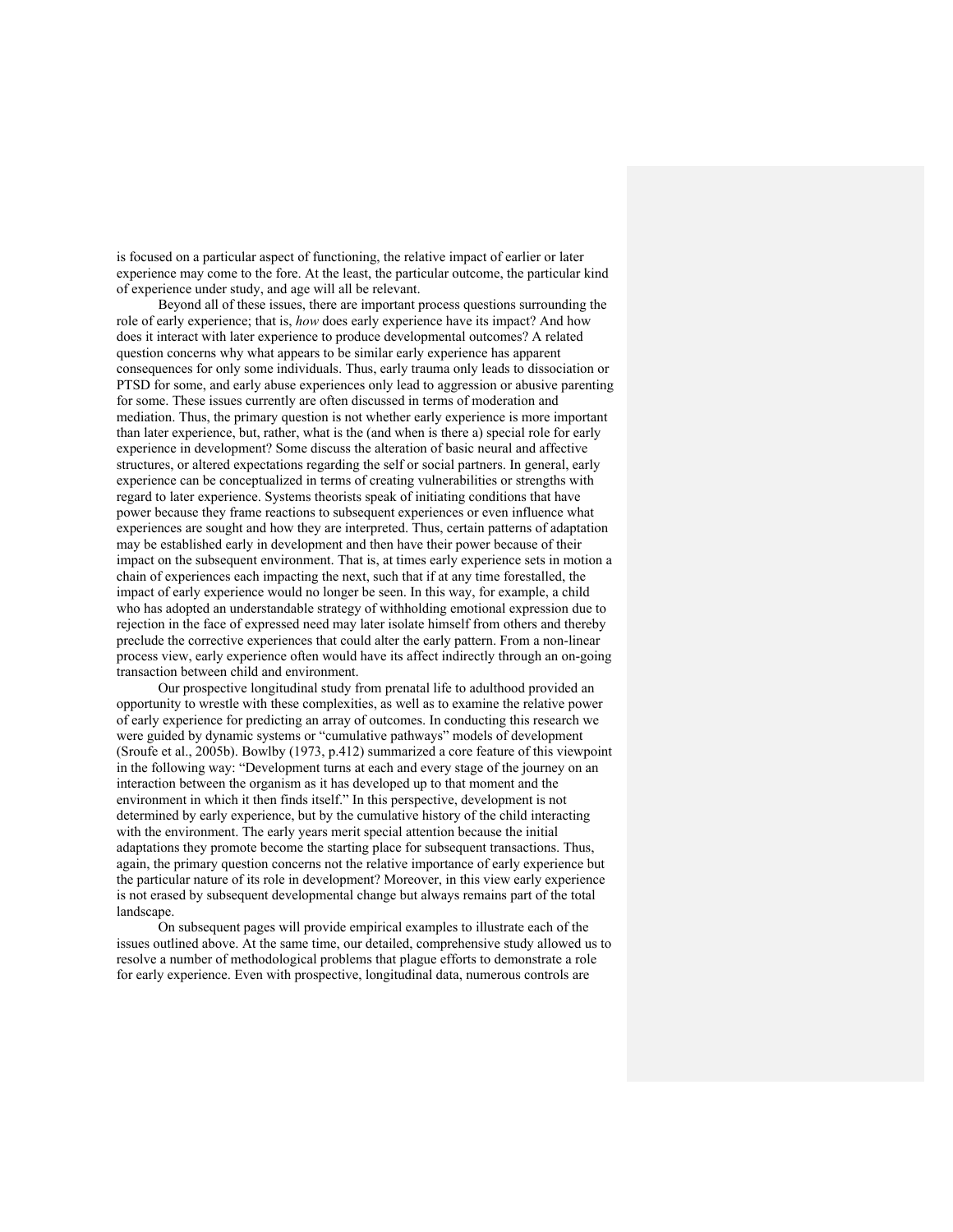is focused on a particular aspect of functioning, the relative impact of earlier or later experience may come to the fore. At the least, the particular outcome, the particular kind of experience under study, and age will all be relevant.

Beyond all of these issues, there are important process questions surrounding the role of early experience; that is, *how* does early experience have its impact? And how does it interact with later experience to produce developmental outcomes? A related question concerns why what appears to be similar early experience has apparent consequences for only some individuals. Thus, early trauma only leads to dissociation or PTSD for some, and early abuse experiences only lead to aggression or abusive parenting for some. These issues currently are often discussed in terms of moderation and mediation. Thus, the primary question is not whether early experience is more important than later experience, but, rather, what is the (and when is there a) special role for early experience in development? Some discuss the alteration of basic neural and affective structures, or altered expectations regarding the self or social partners. In general, early experience can be conceptualized in terms of creating vulnerabilities or strengths with regard to later experience. Systems theorists speak of initiating conditions that have power because they frame reactions to subsequent experiences or even influence what experiences are sought and how they are interpreted. Thus, certain patterns of adaptation may be established early in development and then have their power because of their impact on the subsequent environment. That is, at times early experience sets in motion a chain of experiences each impacting the next, such that if at any time forestalled, the impact of early experience would no longer be seen. In this way, for example, a child who has adopted an understandable strategy of withholding emotional expression due to rejection in the face of expressed need may later isolate himself from others and thereby preclude the corrective experiences that could alter the early pattern. From a non-linear process view, early experience often would have its affect indirectly through an on-going transaction between child and environment.

Our prospective longitudinal study from prenatal life to adulthood provided an opportunity to wrestle with these complexities, as well as to examine the relative power of early experience for predicting an array of outcomes. In conducting this research we were guided by dynamic systems or "cumulative pathways" models of development (Sroufe et al., 2005b). Bowlby (1973, p.412) summarized a core feature of this viewpoint in the following way: "Development turns at each and every stage of the journey on an interaction between the organism as it has developed up to that moment and the environment in which it then finds itself." In this perspective, development is not determined by early experience, but by the cumulative history of the child interacting with the environment. The early years merit special attention because the initial adaptations they promote become the starting place for subsequent transactions. Thus, again, the primary question concerns not the relative importance of early experience but the particular nature of its role in development? Moreover, in this view early experience is not erased by subsequent developmental change but always remains part of the total landscape.

On subsequent pages will provide empirical examples to illustrate each of the issues outlined above. At the same time, our detailed, comprehensive study allowed us to resolve a number of methodological problems that plague efforts to demonstrate a role for early experience. Even with prospective, longitudinal data, numerous controls are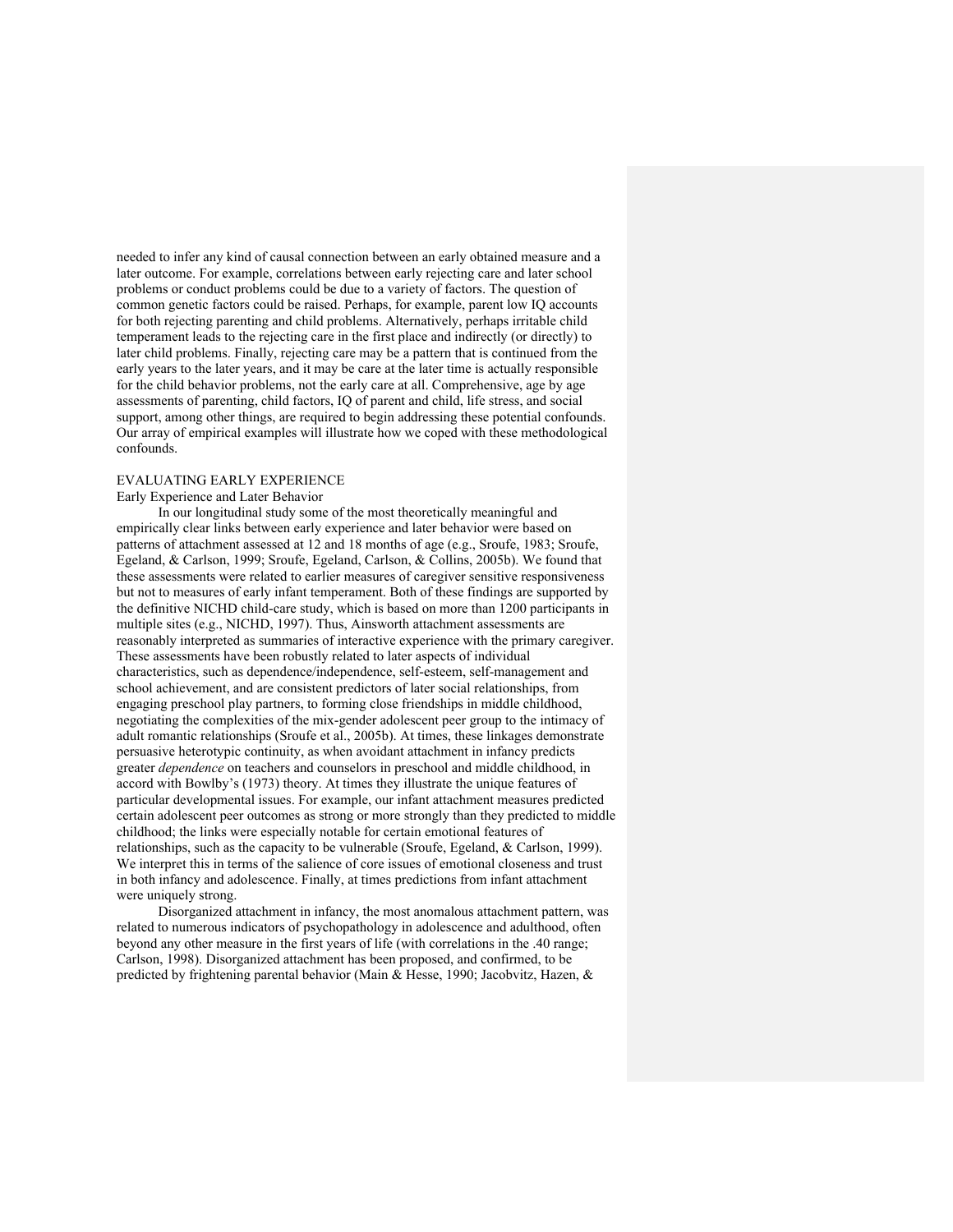needed to infer any kind of causal connection between an early obtained measure and a later outcome. For example, correlations between early rejecting care and later school problems or conduct problems could be due to a variety of factors. The question of common genetic factors could be raised. Perhaps, for example, parent low IQ accounts for both rejecting parenting and child problems. Alternatively, perhaps irritable child temperament leads to the rejecting care in the first place and indirectly (or directly) to later child problems. Finally, rejecting care may be a pattern that is continued from the early years to the later years, and it may be care at the later time is actually responsible for the child behavior problems, not the early care at all. Comprehensive, age by age assessments of parenting, child factors, IQ of parent and child, life stress, and social support, among other things, are required to begin addressing these potential confounds. Our array of empirical examples will illustrate how we coped with these methodological confounds.

# EVALUATING EARLY EXPERIENCE

### Early Experience and Later Behavior

In our longitudinal study some of the most theoretically meaningful and empirically clear links between early experience and later behavior were based on patterns of attachment assessed at 12 and 18 months of age (e.g., Sroufe, 1983; Sroufe, Egeland, & Carlson, 1999; Sroufe, Egeland, Carlson, & Collins, 2005b). We found that these assessments were related to earlier measures of caregiver sensitive responsiveness but not to measures of early infant temperament. Both of these findings are supported by the definitive NICHD child-care study, which is based on more than 1200 participants in multiple sites (e.g., NICHD, 1997). Thus, Ainsworth attachment assessments are reasonably interpreted as summaries of interactive experience with the primary caregiver. These assessments have been robustly related to later aspects of individual characteristics, such as dependence/independence, self-esteem, self-management and school achievement, and are consistent predictors of later social relationships, from engaging preschool play partners, to forming close friendships in middle childhood, negotiating the complexities of the mix-gender adolescent peer group to the intimacy of adult romantic relationships (Sroufe et al., 2005b). At times, these linkages demonstrate persuasive heterotypic continuity, as when avoidant attachment in infancy predicts greater *dependence* on teachers and counselors in preschool and middle childhood, in accord with Bowlby's (1973) theory. At times they illustrate the unique features of particular developmental issues. For example, our infant attachment measures predicted certain adolescent peer outcomes as strong or more strongly than they predicted to middle childhood; the links were especially notable for certain emotional features of relationships, such as the capacity to be vulnerable (Sroufe, Egeland, & Carlson, 1999). We interpret this in terms of the salience of core issues of emotional closeness and trust in both infancy and adolescence. Finally, at times predictions from infant attachment were uniquely strong.

Disorganized attachment in infancy, the most anomalous attachment pattern, was related to numerous indicators of psychopathology in adolescence and adulthood, often beyond any other measure in the first years of life (with correlations in the .40 range; Carlson, 1998). Disorganized attachment has been proposed, and confirmed, to be predicted by frightening parental behavior (Main & Hesse, 1990; Jacobvitz, Hazen, &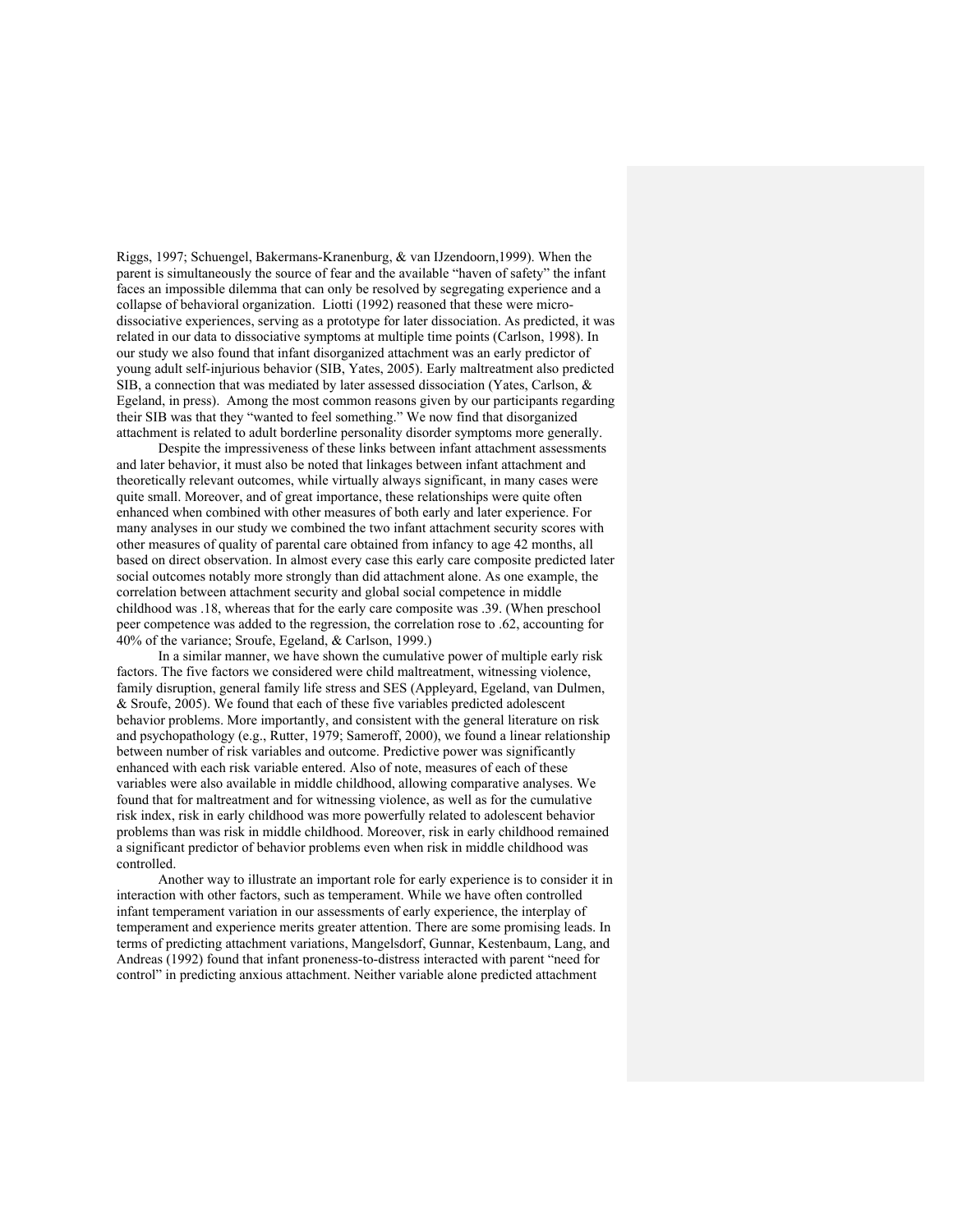Riggs, 1997; Schuengel, Bakermans-Kranenburg, & van IJzendoorn,1999). When the parent is simultaneously the source of fear and the available "haven of safety" the infant faces an impossible dilemma that can only be resolved by segregating experience and a collapse of behavioral organization. Liotti (1992) reasoned that these were microdissociative experiences, serving as a prototype for later dissociation. As predicted, it was related in our data to dissociative symptoms at multiple time points (Carlson, 1998). In our study we also found that infant disorganized attachment was an early predictor of young adult self-injurious behavior (SIB, Yates, 2005). Early maltreatment also predicted SIB, a connection that was mediated by later assessed dissociation (Yates, Carlson, & Egeland, in press). Among the most common reasons given by our participants regarding their SIB was that they "wanted to feel something." We now find that disorganized attachment is related to adult borderline personality disorder symptoms more generally.

Despite the impressiveness of these links between infant attachment assessments and later behavior, it must also be noted that linkages between infant attachment and theoretically relevant outcomes, while virtually always significant, in many cases were quite small. Moreover, and of great importance, these relationships were quite often enhanced when combined with other measures of both early and later experience. For many analyses in our study we combined the two infant attachment security scores with other measures of quality of parental care obtained from infancy to age 42 months, all based on direct observation. In almost every case this early care composite predicted later social outcomes notably more strongly than did attachment alone. As one example, the correlation between attachment security and global social competence in middle childhood was .18, whereas that for the early care composite was .39. (When preschool peer competence was added to the regression, the correlation rose to .62, accounting for 40% of the variance; Sroufe, Egeland, & Carlson, 1999.)

In a similar manner, we have shown the cumulative power of multiple early risk factors. The five factors we considered were child maltreatment, witnessing violence, family disruption, general family life stress and SES (Appleyard, Egeland, van Dulmen, & Sroufe, 2005). We found that each of these five variables predicted adolescent behavior problems. More importantly, and consistent with the general literature on risk and psychopathology (e.g., Rutter, 1979; Sameroff, 2000), we found a linear relationship between number of risk variables and outcome. Predictive power was significantly enhanced with each risk variable entered. Also of note, measures of each of these variables were also available in middle childhood, allowing comparative analyses. We found that for maltreatment and for witnessing violence, as well as for the cumulative risk index, risk in early childhood was more powerfully related to adolescent behavior problems than was risk in middle childhood. Moreover, risk in early childhood remained a significant predictor of behavior problems even when risk in middle childhood was controlled.

Another way to illustrate an important role for early experience is to consider it in interaction with other factors, such as temperament. While we have often controlled infant temperament variation in our assessments of early experience, the interplay of temperament and experience merits greater attention. There are some promising leads. In terms of predicting attachment variations, Mangelsdorf, Gunnar, Kestenbaum, Lang, and Andreas (1992) found that infant proneness-to-distress interacted with parent "need for control" in predicting anxious attachment. Neither variable alone predicted attachment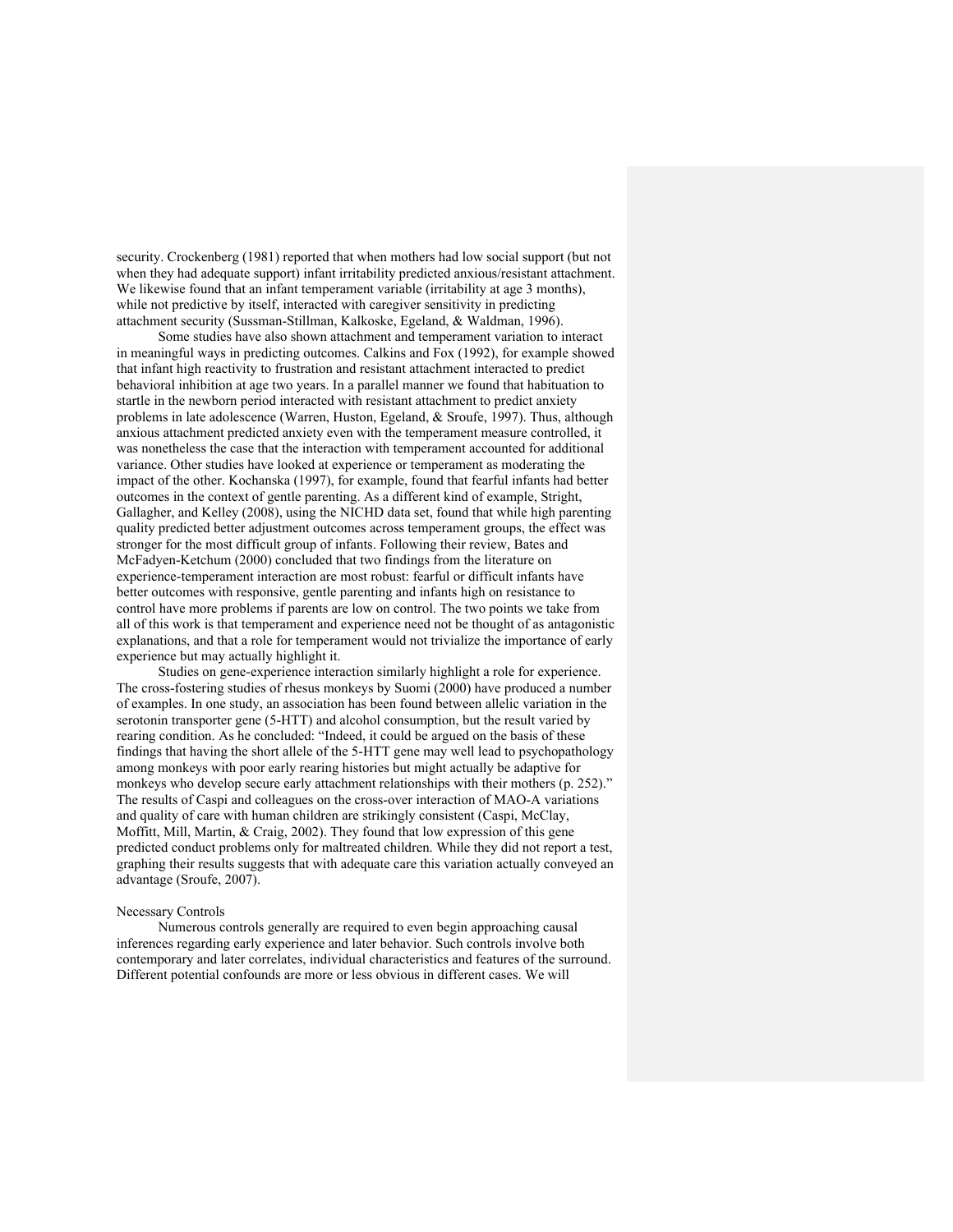security. Crockenberg (1981) reported that when mothers had low social support (but not when they had adequate support) infant irritability predicted anxious/resistant attachment. We likewise found that an infant temperament variable (irritability at age 3 months), while not predictive by itself, interacted with caregiver sensitivity in predicting attachment security (Sussman-Stillman, Kalkoske, Egeland, & Waldman, 1996).

Some studies have also shown attachment and temperament variation to interact in meaningful ways in predicting outcomes. Calkins and Fox (1992), for example showed that infant high reactivity to frustration and resistant attachment interacted to predict behavioral inhibition at age two years. In a parallel manner we found that habituation to startle in the newborn period interacted with resistant attachment to predict anxiety problems in late adolescence (Warren, Huston, Egeland, & Sroufe, 1997). Thus, although anxious attachment predicted anxiety even with the temperament measure controlled, it was nonetheless the case that the interaction with temperament accounted for additional variance. Other studies have looked at experience or temperament as moderating the impact of the other. Kochanska (1997), for example, found that fearful infants had better outcomes in the context of gentle parenting. As a different kind of example, Stright, Gallagher, and Kelley (2008), using the NICHD data set, found that while high parenting quality predicted better adjustment outcomes across temperament groups, the effect was stronger for the most difficult group of infants. Following their review, Bates and McFadyen-Ketchum (2000) concluded that two findings from the literature on experience-temperament interaction are most robust: fearful or difficult infants have better outcomes with responsive, gentle parenting and infants high on resistance to control have more problems if parents are low on control. The two points we take from all of this work is that temperament and experience need not be thought of as antagonistic explanations, and that a role for temperament would not trivialize the importance of early experience but may actually highlight it.

Studies on gene-experience interaction similarly highlight a role for experience. The cross-fostering studies of rhesus monkeys by Suomi (2000) have produced a number of examples. In one study, an association has been found between allelic variation in the serotonin transporter gene (5-HTT) and alcohol consumption, but the result varied by rearing condition. As he concluded: "Indeed, it could be argued on the basis of these findings that having the short allele of the 5-HTT gene may well lead to psychopathology among monkeys with poor early rearing histories but might actually be adaptive for monkeys who develop secure early attachment relationships with their mothers (p. 252)." The results of Caspi and colleagues on the cross-over interaction of MAO-A variations and quality of care with human children are strikingly consistent (Caspi, McClay, Moffitt, Mill, Martin, & Craig, 2002). They found that low expression of this gene predicted conduct problems only for maltreated children. While they did not report a test, graphing their results suggests that with adequate care this variation actually conveyed an advantage (Sroufe, 2007).

### Necessary Controls

Numerous controls generally are required to even begin approaching causal inferences regarding early experience and later behavior. Such controls involve both contemporary and later correlates, individual characteristics and features of the surround. Different potential confounds are more or less obvious in different cases. We will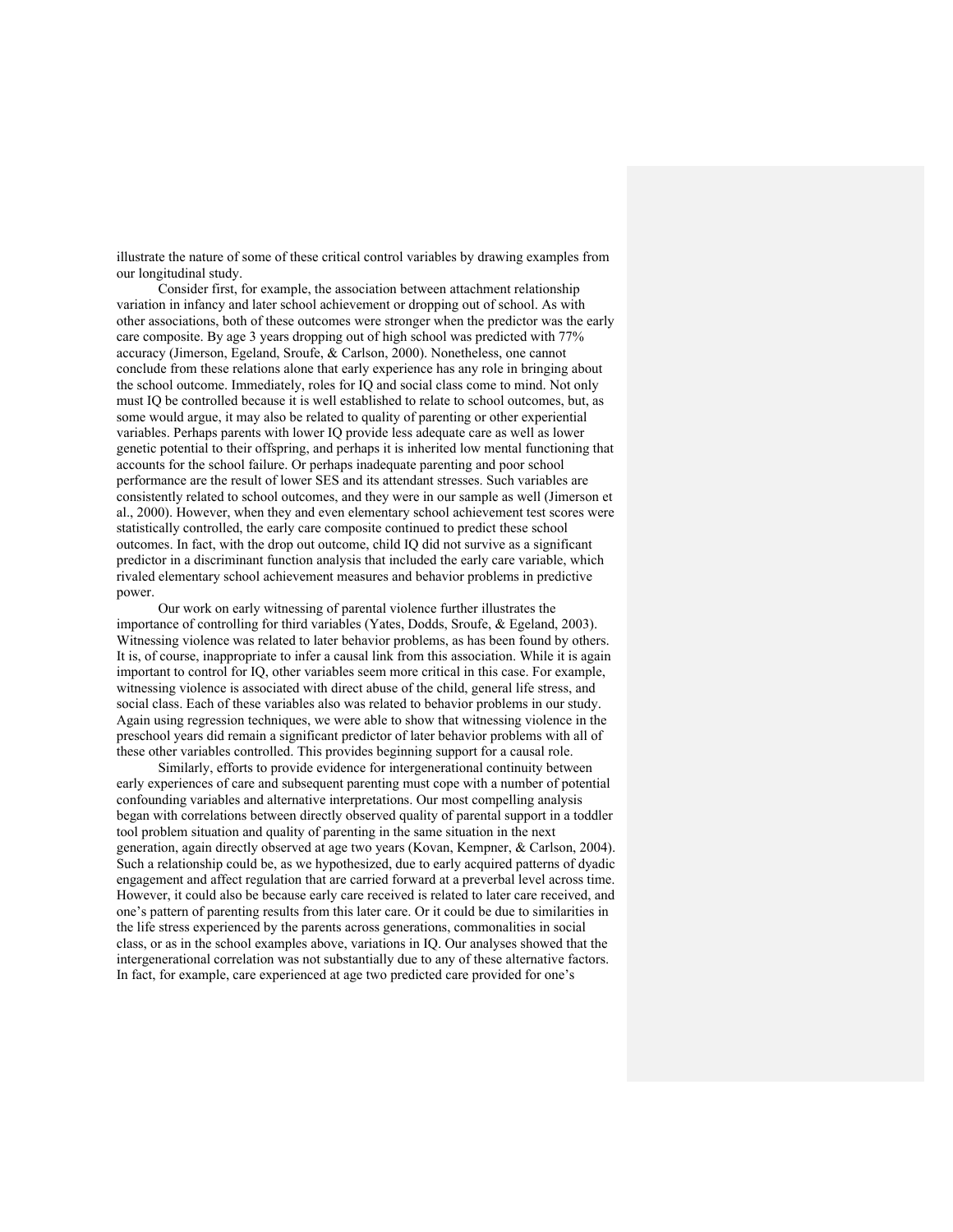illustrate the nature of some of these critical control variables by drawing examples from our longitudinal study.

Consider first, for example, the association between attachment relationship variation in infancy and later school achievement or dropping out of school. As with other associations, both of these outcomes were stronger when the predictor was the early care composite. By age 3 years dropping out of high school was predicted with 77% accuracy (Jimerson, Egeland, Sroufe, & Carlson, 2000). Nonetheless, one cannot conclude from these relations alone that early experience has any role in bringing about the school outcome. Immediately, roles for IQ and social class come to mind. Not only must IQ be controlled because it is well established to relate to school outcomes, but, as some would argue, it may also be related to quality of parenting or other experiential variables. Perhaps parents with lower IQ provide less adequate care as well as lower genetic potential to their offspring, and perhaps it is inherited low mental functioning that accounts for the school failure. Or perhaps inadequate parenting and poor school performance are the result of lower SES and its attendant stresses. Such variables are consistently related to school outcomes, and they were in our sample as well (Jimerson et al., 2000). However, when they and even elementary school achievement test scores were statistically controlled, the early care composite continued to predict these school outcomes. In fact, with the drop out outcome, child IQ did not survive as a significant predictor in a discriminant function analysis that included the early care variable, which rivaled elementary school achievement measures and behavior problems in predictive power.

Our work on early witnessing of parental violence further illustrates the importance of controlling for third variables (Yates, Dodds, Sroufe, & Egeland, 2003). Witnessing violence was related to later behavior problems, as has been found by others. It is, of course, inappropriate to infer a causal link from this association. While it is again important to control for IQ, other variables seem more critical in this case. For example, witnessing violence is associated with direct abuse of the child, general life stress, and social class. Each of these variables also was related to behavior problems in our study. Again using regression techniques, we were able to show that witnessing violence in the preschool years did remain a significant predictor of later behavior problems with all of these other variables controlled. This provides beginning support for a causal role.

Similarly, efforts to provide evidence for intergenerational continuity between early experiences of care and subsequent parenting must cope with a number of potential confounding variables and alternative interpretations. Our most compelling analysis began with correlations between directly observed quality of parental support in a toddler tool problem situation and quality of parenting in the same situation in the next generation, again directly observed at age two years (Kovan, Kempner, & Carlson, 2004). Such a relationship could be, as we hypothesized, due to early acquired patterns of dyadic engagement and affect regulation that are carried forward at a preverbal level across time. However, it could also be because early care received is related to later care received, and one's pattern of parenting results from this later care. Or it could be due to similarities in the life stress experienced by the parents across generations, commonalities in social class, or as in the school examples above, variations in IQ. Our analyses showed that the intergenerational correlation was not substantially due to any of these alternative factors. In fact, for example, care experienced at age two predicted care provided for one's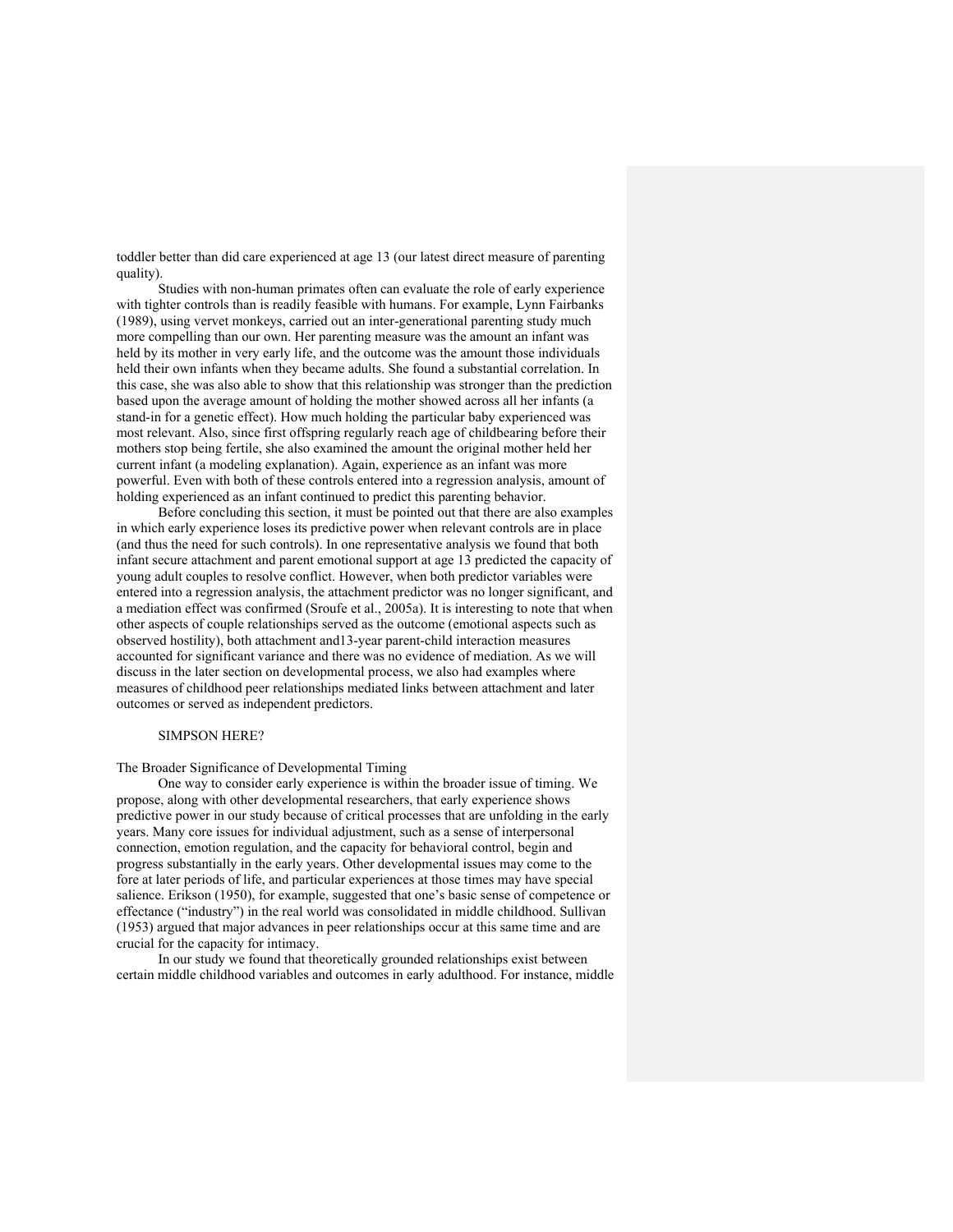toddler better than did care experienced at age 13 (our latest direct measure of parenting quality).

Studies with non-human primates often can evaluate the role of early experience with tighter controls than is readily feasible with humans. For example, Lynn Fairbanks (1989), using vervet monkeys, carried out an inter-generational parenting study much more compelling than our own. Her parenting measure was the amount an infant was held by its mother in very early life, and the outcome was the amount those individuals held their own infants when they became adults. She found a substantial correlation. In this case, she was also able to show that this relationship was stronger than the prediction based upon the average amount of holding the mother showed across all her infants (a stand-in for a genetic effect). How much holding the particular baby experienced was most relevant. Also, since first offspring regularly reach age of childbearing before their mothers stop being fertile, she also examined the amount the original mother held her current infant (a modeling explanation). Again, experience as an infant was more powerful. Even with both of these controls entered into a regression analysis, amount of holding experienced as an infant continued to predict this parenting behavior.

Before concluding this section, it must be pointed out that there are also examples in which early experience loses its predictive power when relevant controls are in place (and thus the need for such controls). In one representative analysis we found that both infant secure attachment and parent emotional support at age 13 predicted the capacity of young adult couples to resolve conflict. However, when both predictor variables were entered into a regression analysis, the attachment predictor was no longer significant, and a mediation effect was confirmed (Sroufe et al., 2005a). It is interesting to note that when other aspects of couple relationships served as the outcome (emotional aspects such as observed hostility), both attachment and13-year parent-child interaction measures accounted for significant variance and there was no evidence of mediation. As we will discuss in the later section on developmental process, we also had examples where measures of childhood peer relationships mediated links between attachment and later outcomes or served as independent predictors.

## SIMPSON HERE?

The Broader Significance of Developmental Timing

One way to consider early experience is within the broader issue of timing. We propose, along with other developmental researchers, that early experience shows predictive power in our study because of critical processes that are unfolding in the early years. Many core issues for individual adjustment, such as a sense of interpersonal connection, emotion regulation, and the capacity for behavioral control, begin and progress substantially in the early years. Other developmental issues may come to the fore at later periods of life, and particular experiences at those times may have special salience. Erikson (1950), for example, suggested that one's basic sense of competence or effectance ("industry") in the real world was consolidated in middle childhood. Sullivan (1953) argued that major advances in peer relationships occur at this same time and are crucial for the capacity for intimacy.

In our study we found that theoretically grounded relationships exist between certain middle childhood variables and outcomes in early adulthood. For instance, middle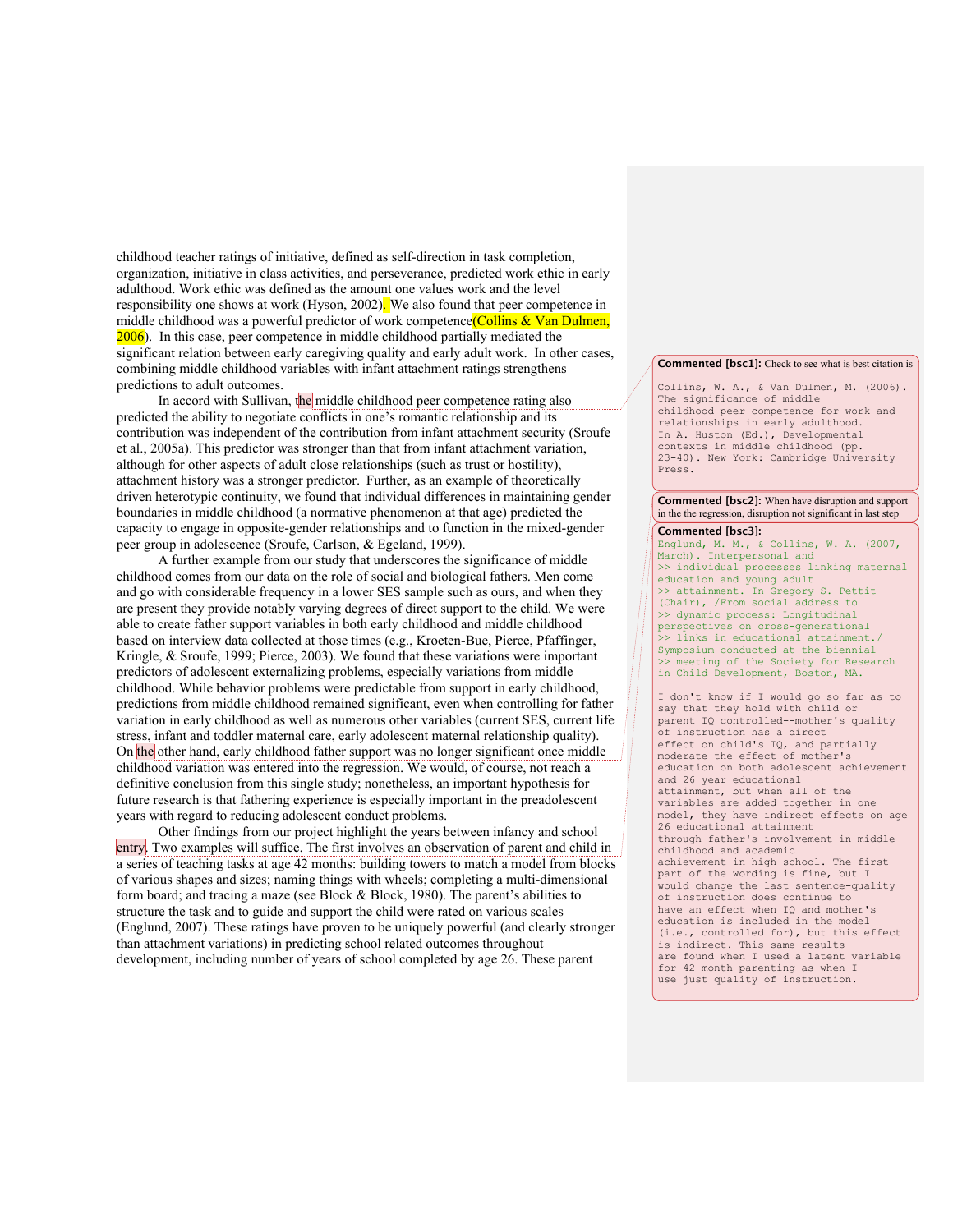childhood teacher ratings of initiative, defined as self-direction in task completion, organization, initiative in class activities, and perseverance, predicted work ethic in early adulthood. Work ethic was defined as the amount one values work and the level responsibility one shows at work (Hyson, 2002). We also found that peer competence in middle childhood was a powerful predictor of work competence (Collins & Van Dulmen, 2006). In this case, peer competence in middle childhood partially mediated the significant relation between early caregiving quality and early adult work. In other cases, combining middle childhood variables with infant attachment ratings strengthens predictions to adult outcomes.

In accord with Sullivan, the middle childhood peer competence rating also predicted the ability to negotiate conflicts in one's romantic relationship and its contribution was independent of the contribution from infant attachment security (Sroufe et al., 2005a). This predictor was stronger than that from infant attachment variation, although for other aspects of adult close relationships (such as trust or hostility), attachment history was a stronger predictor. Further, as an example of theoretically driven heterotypic continuity, we found that individual differences in maintaining gender boundaries in middle childhood (a normative phenomenon at that age) predicted the capacity to engage in opposite-gender relationships and to function in the mixed-gender peer group in adolescence (Sroufe, Carlson, & Egeland, 1999).

A further example from our study that underscores the significance of middle childhood comes from our data on the role of social and biological fathers. Men come and go with considerable frequency in a lower SES sample such as ours, and when they are present they provide notably varying degrees of direct support to the child. We were able to create father support variables in both early childhood and middle childhood based on interview data collected at those times (e.g., Kroeten-Bue, Pierce, Pfaffinger, Kringle, & Sroufe, 1999; Pierce, 2003). We found that these variations were important predictors of adolescent externalizing problems, especially variations from middle childhood. While behavior problems were predictable from support in early childhood, predictions from middle childhood remained significant, even when controlling for father variation in early childhood as well as numerous other variables (current SES, current life stress, infant and toddler maternal care, early adolescent maternal relationship quality). On the other hand, early childhood father support was no longer significant once middle childhood variation was entered into the regression. We would, of course, not reach a definitive conclusion from this single study; nonetheless, an important hypothesis for future research is that fathering experience is especially important in the preadolescent years with regard to reducing adolescent conduct problems.

Other findings from our project highlight the years between infancy and school entry. Two examples will suffice. The first involves an observation of parent and child in a series of teaching tasks at age 42 months: building towers to match a model from blocks of various shapes and sizes; naming things with wheels; completing a multi-dimensional form board; and tracing a maze (see Block & Block, 1980). The parent's abilities to structure the task and to guide and support the child were rated on various scales (Englund, 2007). These ratings have proven to be uniquely powerful (and clearly stronger than attachment variations) in predicting school related outcomes throughout development, including number of years of school completed by age 26. These parent

#### **Commented [bsc1]:** Check to see what is best citation is

Collins, W. A., & Van Dulmen, M. (2006). The significance of middle childhood peer competence for work and relationships in early adulthood. In A. Huston (Ed.), Developmental contexts in middle childhood (pp. 23-40). New York: Cambridge University Press.

#### **Commented [bsc2]:** When have disruption and support in the the regression, disruption not significant in last step

#### **Commented [bsc3]:**

Englund, M. M., & Collins, W. A. (2007, March). Interpersonal and >> individual processes linking maternal education and young adult >> attainment. In Gregory S. Pettit (Chair), /From social address to >> dynamic process: Longitudinal perspectives on cross-generational >> links in educational attainment./ Symposium conducted at the biennial >> meeting of the Society for Research in Child Development, Boston, MA.

I don't know if I would go so far as to say that they hold with child or parent IQ controlled--mother's quality of instruction has a direct effect on child's IQ, and partially moderate the effect of mother's education on both adolescent achievement and 26 year educational attainment, but when all of the variables are added together in one model, they have indirect effects on age 26 educational attainment through father's involvement in middle childhood and academic achievement in high school. The first part of the wording is fine, but I would change the last sentence-quality of instruction does continue to have an effect when IQ and mother's education is included in the model (i.e., controlled for), but this effect is indirect. This same results are found when I used a latent variable for 42 month parenting as when I use just quality of instruction.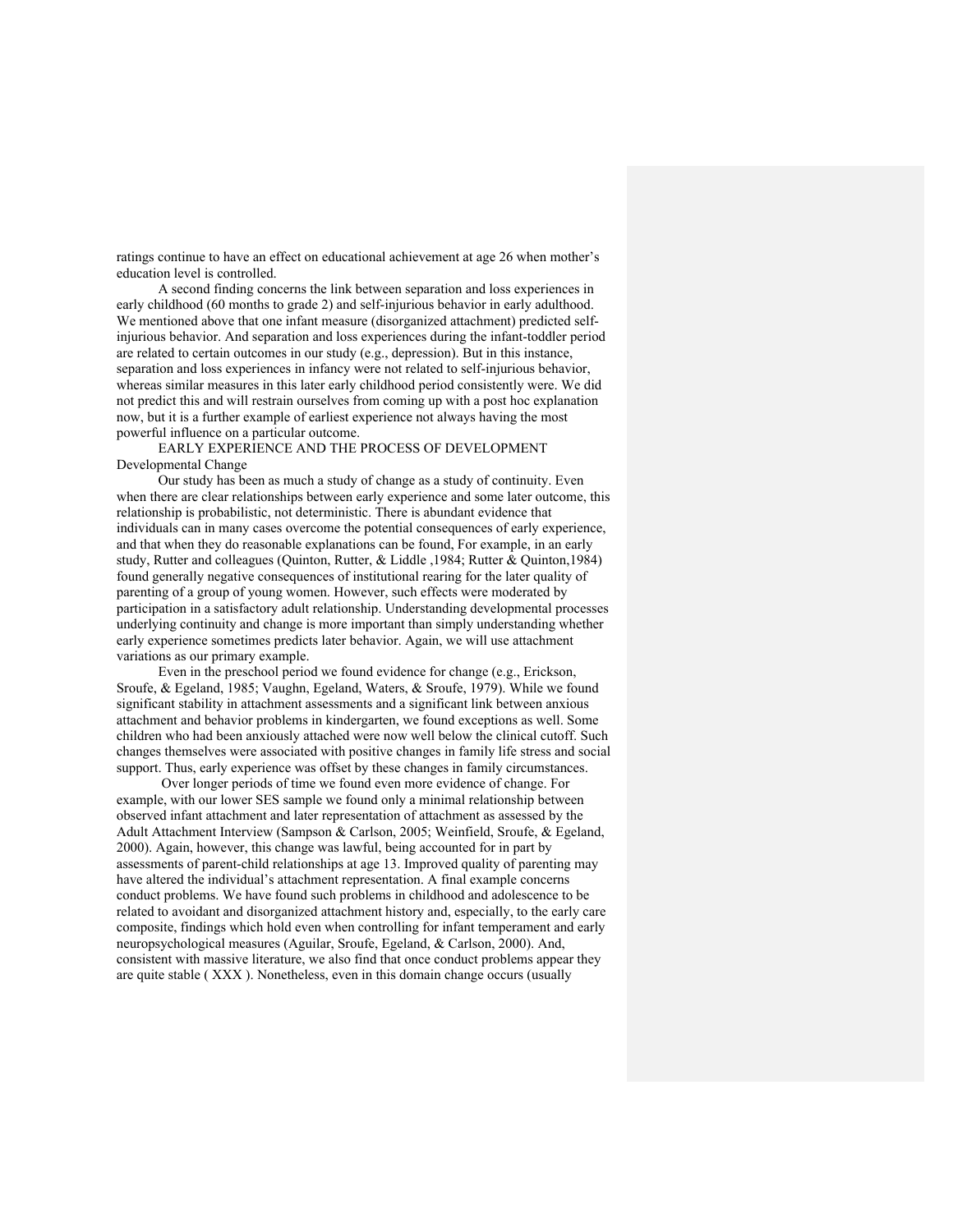ratings continue to have an effect on educational achievement at age 26 when mother's education level is controlled.

A second finding concerns the link between separation and loss experiences in early childhood (60 months to grade 2) and self-injurious behavior in early adulthood. We mentioned above that one infant measure (disorganized attachment) predicted selfinjurious behavior. And separation and loss experiences during the infant-toddler period are related to certain outcomes in our study (e.g., depression). But in this instance, separation and loss experiences in infancy were not related to self-injurious behavior, whereas similar measures in this later early childhood period consistently were. We did not predict this and will restrain ourselves from coming up with a post hoc explanation now, but it is a further example of earliest experience not always having the most powerful influence on a particular outcome.

EARLY EXPERIENCE AND THE PROCESS OF DEVELOPMENT Developmental Change

Our study has been as much a study of change as a study of continuity. Even when there are clear relationships between early experience and some later outcome, this relationship is probabilistic, not deterministic. There is abundant evidence that individuals can in many cases overcome the potential consequences of early experience, and that when they do reasonable explanations can be found, For example, in an early study, Rutter and colleagues (Quinton, Rutter, & Liddle ,1984; Rutter & Quinton,1984) found generally negative consequences of institutional rearing for the later quality of parenting of a group of young women. However, such effects were moderated by participation in a satisfactory adult relationship. Understanding developmental processes underlying continuity and change is more important than simply understanding whether early experience sometimes predicts later behavior. Again, we will use attachment variations as our primary example.

Even in the preschool period we found evidence for change (e.g., Erickson, Sroufe, & Egeland, 1985; Vaughn, Egeland, Waters, & Sroufe, 1979). While we found significant stability in attachment assessments and a significant link between anxious attachment and behavior problems in kindergarten, we found exceptions as well. Some children who had been anxiously attached were now well below the clinical cutoff. Such changes themselves were associated with positive changes in family life stress and social support. Thus, early experience was offset by these changes in family circumstances.

Over longer periods of time we found even more evidence of change. For example, with our lower SES sample we found only a minimal relationship between observed infant attachment and later representation of attachment as assessed by the Adult Attachment Interview (Sampson & Carlson, 2005; Weinfield, Sroufe, & Egeland, 2000). Again, however, this change was lawful, being accounted for in part by assessments of parent-child relationships at age 13. Improved quality of parenting may have altered the individual's attachment representation. A final example concerns conduct problems. We have found such problems in childhood and adolescence to be related to avoidant and disorganized attachment history and, especially, to the early care composite, findings which hold even when controlling for infant temperament and early neuropsychological measures (Aguilar, Sroufe, Egeland, & Carlson, 2000). And, consistent with massive literature, we also find that once conduct problems appear they are quite stable ( XXX ). Nonetheless, even in this domain change occurs (usually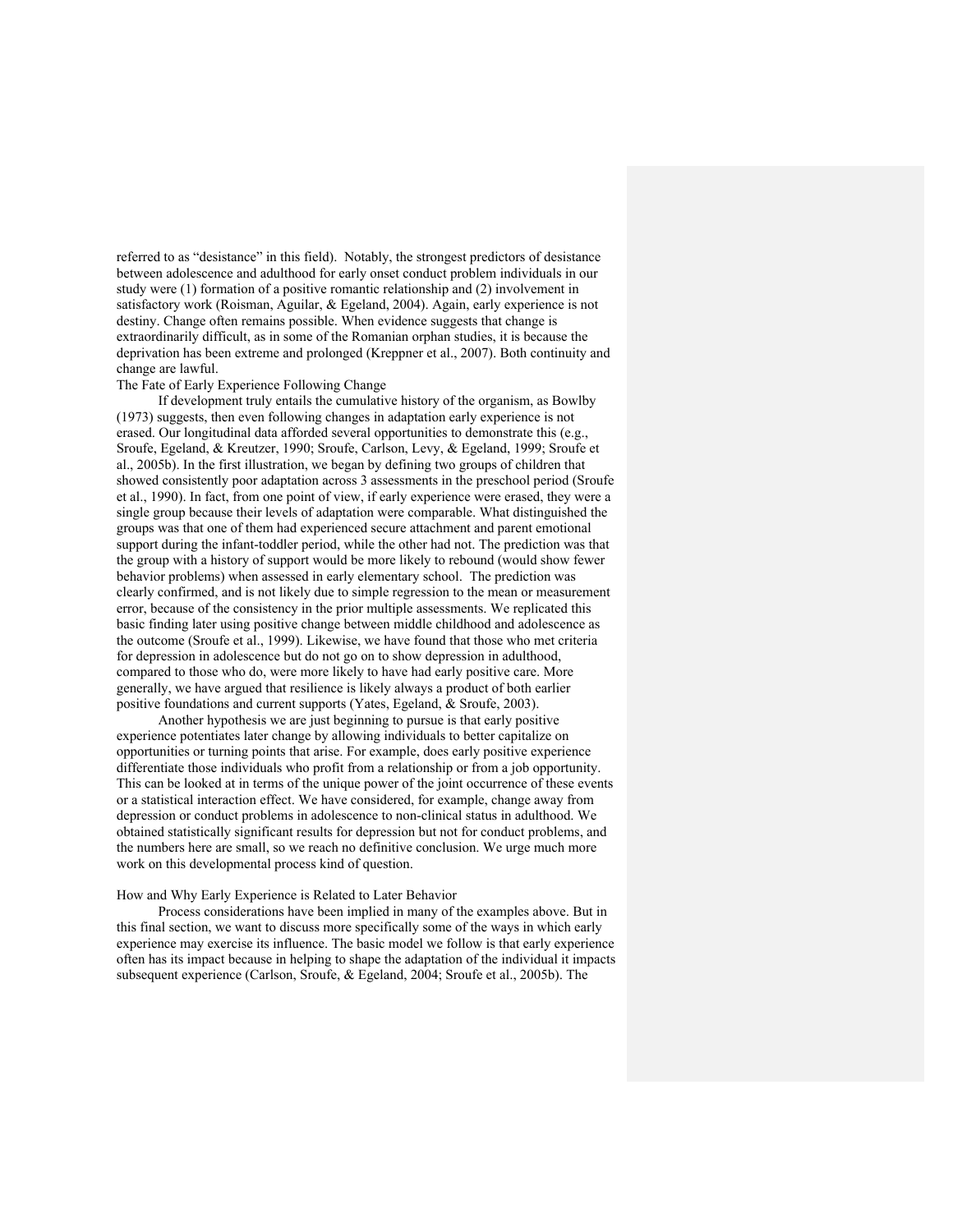referred to as "desistance" in this field). Notably, the strongest predictors of desistance between adolescence and adulthood for early onset conduct problem individuals in our study were (1) formation of a positive romantic relationship and (2) involvement in satisfactory work (Roisman, Aguilar, & Egeland, 2004). Again, early experience is not destiny. Change often remains possible. When evidence suggests that change is extraordinarily difficult, as in some of the Romanian orphan studies, it is because the deprivation has been extreme and prolonged (Kreppner et al., 2007). Both continuity and change are lawful.

# The Fate of Early Experience Following Change

If development truly entails the cumulative history of the organism, as Bowlby (1973) suggests, then even following changes in adaptation early experience is not erased. Our longitudinal data afforded several opportunities to demonstrate this (e.g., Sroufe, Egeland, & Kreutzer, 1990; Sroufe, Carlson, Levy, & Egeland, 1999; Sroufe et al., 2005b). In the first illustration, we began by defining two groups of children that showed consistently poor adaptation across 3 assessments in the preschool period (Sroufe et al., 1990). In fact, from one point of view, if early experience were erased, they were a single group because their levels of adaptation were comparable. What distinguished the groups was that one of them had experienced secure attachment and parent emotional support during the infant-toddler period, while the other had not. The prediction was that the group with a history of support would be more likely to rebound (would show fewer behavior problems) when assessed in early elementary school. The prediction was clearly confirmed, and is not likely due to simple regression to the mean or measurement error, because of the consistency in the prior multiple assessments. We replicated this basic finding later using positive change between middle childhood and adolescence as the outcome (Sroufe et al., 1999). Likewise, we have found that those who met criteria for depression in adolescence but do not go on to show depression in adulthood, compared to those who do, were more likely to have had early positive care. More generally, we have argued that resilience is likely always a product of both earlier positive foundations and current supports (Yates, Egeland, & Sroufe, 2003).

Another hypothesis we are just beginning to pursue is that early positive experience potentiates later change by allowing individuals to better capitalize on opportunities or turning points that arise. For example, does early positive experience differentiate those individuals who profit from a relationship or from a job opportunity. This can be looked at in terms of the unique power of the joint occurrence of these events or a statistical interaction effect. We have considered, for example, change away from depression or conduct problems in adolescence to non-clinical status in adulthood. We obtained statistically significant results for depression but not for conduct problems, and the numbers here are small, so we reach no definitive conclusion. We urge much more work on this developmental process kind of question.

### How and Why Early Experience is Related to Later Behavior

Process considerations have been implied in many of the examples above. But in this final section, we want to discuss more specifically some of the ways in which early experience may exercise its influence. The basic model we follow is that early experience often has its impact because in helping to shape the adaptation of the individual it impacts subsequent experience (Carlson, Sroufe, & Egeland, 2004; Sroufe et al., 2005b). The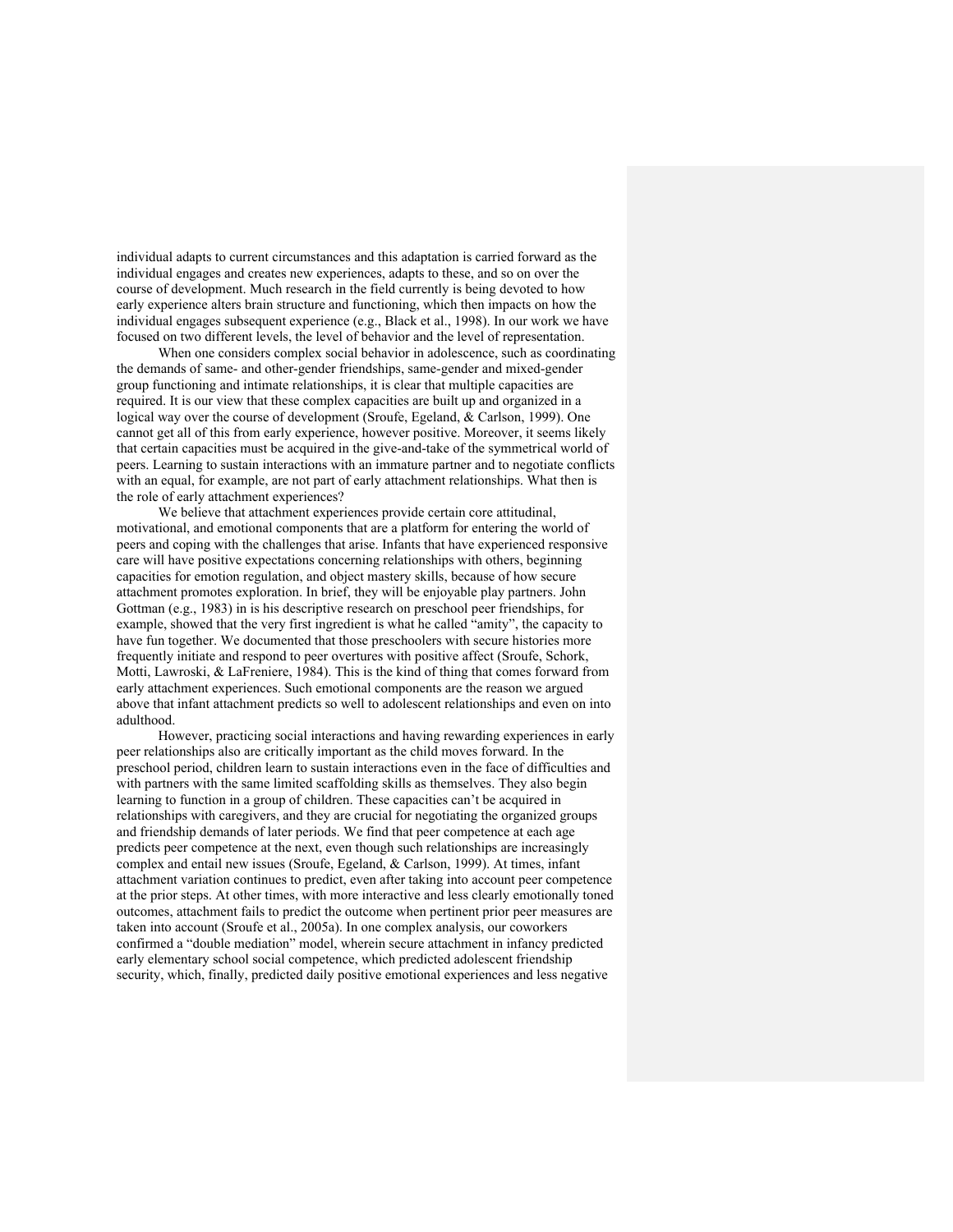individual adapts to current circumstances and this adaptation is carried forward as the individual engages and creates new experiences, adapts to these, and so on over the course of development. Much research in the field currently is being devoted to how early experience alters brain structure and functioning, which then impacts on how the individual engages subsequent experience (e.g., Black et al., 1998). In our work we have focused on two different levels, the level of behavior and the level of representation.

When one considers complex social behavior in adolescence, such as coordinating the demands of same- and other-gender friendships, same-gender and mixed-gender group functioning and intimate relationships, it is clear that multiple capacities are required. It is our view that these complex capacities are built up and organized in a logical way over the course of development (Sroufe, Egeland, & Carlson, 1999). One cannot get all of this from early experience, however positive. Moreover, it seems likely that certain capacities must be acquired in the give-and-take of the symmetrical world of peers. Learning to sustain interactions with an immature partner and to negotiate conflicts with an equal, for example, are not part of early attachment relationships. What then is the role of early attachment experiences?

We believe that attachment experiences provide certain core attitudinal, motivational, and emotional components that are a platform for entering the world of peers and coping with the challenges that arise. Infants that have experienced responsive care will have positive expectations concerning relationships with others, beginning capacities for emotion regulation, and object mastery skills, because of how secure attachment promotes exploration. In brief, they will be enjoyable play partners. John Gottman (e.g., 1983) in is his descriptive research on preschool peer friendships, for example, showed that the very first ingredient is what he called "amity", the capacity to have fun together. We documented that those preschoolers with secure histories more frequently initiate and respond to peer overtures with positive affect (Sroufe, Schork, Motti, Lawroski, & LaFreniere, 1984). This is the kind of thing that comes forward from early attachment experiences. Such emotional components are the reason we argued above that infant attachment predicts so well to adolescent relationships and even on into adulthood.

However, practicing social interactions and having rewarding experiences in early peer relationships also are critically important as the child moves forward. In the preschool period, children learn to sustain interactions even in the face of difficulties and with partners with the same limited scaffolding skills as themselves. They also begin learning to function in a group of children. These capacities can't be acquired in relationships with caregivers, and they are crucial for negotiating the organized groups and friendship demands of later periods. We find that peer competence at each age predicts peer competence at the next, even though such relationships are increasingly complex and entail new issues (Sroufe, Egeland, & Carlson, 1999). At times, infant attachment variation continues to predict, even after taking into account peer competence at the prior steps. At other times, with more interactive and less clearly emotionally toned outcomes, attachment fails to predict the outcome when pertinent prior peer measures are taken into account (Sroufe et al., 2005a). In one complex analysis, our coworkers confirmed a "double mediation" model, wherein secure attachment in infancy predicted early elementary school social competence, which predicted adolescent friendship security, which, finally, predicted daily positive emotional experiences and less negative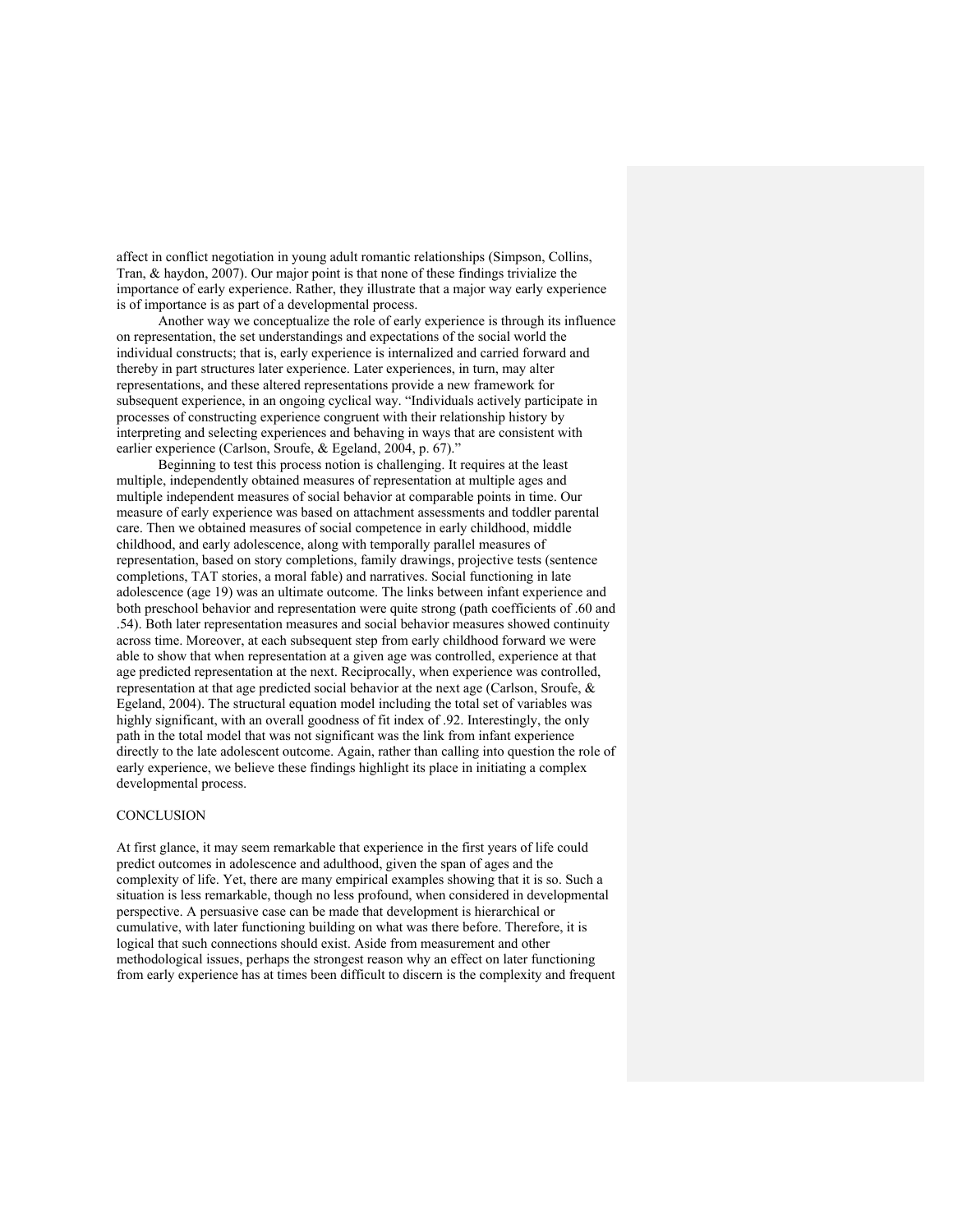affect in conflict negotiation in young adult romantic relationships (Simpson, Collins, Tran, & haydon, 2007). Our major point is that none of these findings trivialize the importance of early experience. Rather, they illustrate that a major way early experience is of importance is as part of a developmental process.

Another way we conceptualize the role of early experience is through its influence on representation, the set understandings and expectations of the social world the individual constructs; that is, early experience is internalized and carried forward and thereby in part structures later experience. Later experiences, in turn, may alter representations, and these altered representations provide a new framework for subsequent experience, in an ongoing cyclical way. "Individuals actively participate in processes of constructing experience congruent with their relationship history by interpreting and selecting experiences and behaving in ways that are consistent with earlier experience (Carlson, Sroufe, & Egeland, 2004, p. 67)."

Beginning to test this process notion is challenging. It requires at the least multiple, independently obtained measures of representation at multiple ages and multiple independent measures of social behavior at comparable points in time. Our measure of early experience was based on attachment assessments and toddler parental care. Then we obtained measures of social competence in early childhood, middle childhood, and early adolescence, along with temporally parallel measures of representation, based on story completions, family drawings, projective tests (sentence completions, TAT stories, a moral fable) and narratives. Social functioning in late adolescence (age 19) was an ultimate outcome. The links between infant experience and both preschool behavior and representation were quite strong (path coefficients of .60 and .54). Both later representation measures and social behavior measures showed continuity across time. Moreover, at each subsequent step from early childhood forward we were able to show that when representation at a given age was controlled, experience at that age predicted representation at the next. Reciprocally, when experience was controlled, representation at that age predicted social behavior at the next age (Carlson, Sroufe, & Egeland, 2004). The structural equation model including the total set of variables was highly significant, with an overall goodness of fit index of .92. Interestingly, the only path in the total model that was not significant was the link from infant experience directly to the late adolescent outcome. Again, rather than calling into question the role of early experience, we believe these findings highlight its place in initiating a complex developmental process.

## **CONCLUSION**

At first glance, it may seem remarkable that experience in the first years of life could predict outcomes in adolescence and adulthood, given the span of ages and the complexity of life. Yet, there are many empirical examples showing that it is so. Such a situation is less remarkable, though no less profound, when considered in developmental perspective. A persuasive case can be made that development is hierarchical or cumulative, with later functioning building on what was there before. Therefore, it is logical that such connections should exist. Aside from measurement and other methodological issues, perhaps the strongest reason why an effect on later functioning from early experience has at times been difficult to discern is the complexity and frequent